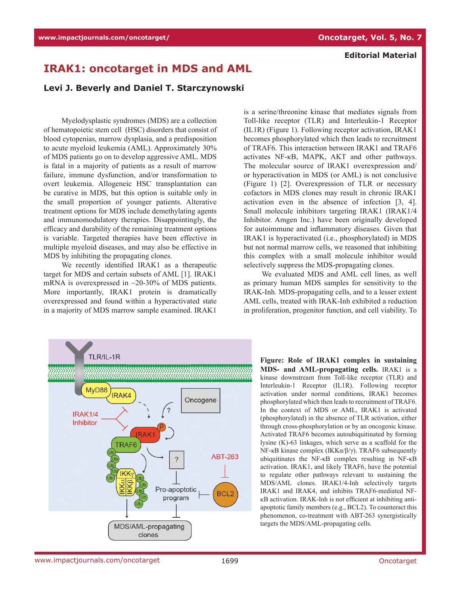## **Editorial Material**

## **IRAK1: oncotarget in MDS and AML**

## **Levi J. Beverly and Daniel T. Starczynowski**

Myelodysplastic syndromes (MDS) are a collection of hematopoietic stem cell (HSC) disorders that consist of blood cytopenias, marrow dysplasia, and a predisposition to acute myeloid leukemia (AML). Approximately 30% of MDS patients go on to develop aggressive AML. MDS is fatal in a majority of patients as a result of marrow failure, immune dysfunction, and/or transformation to overt leukemia. Allogeneic HSC transplantation can be curative in MDS, but this option is suitable only in the small proportion of younger patients. Alterative treatment options for MDS include demethylating agents and immunomodulatory therapies. Disappointingly, the efficacy and durability of the remaining treatment options is variable. Targeted therapies have been effective in multiple myeloid diseases, and may also be effective in MDS by inhibiting the propagating clones.

We recently identified IRAK1 as a therapeutic target for MDS and certain subsets of AML [1]. IRAK1 mRNA is overexpressed in  $\sim$ 20-30% of MDS patients. More importantly, IRAK1 protein is dramatically overexpressed and found within a hyperactivated state in a majority of MDS marrow sample examined. IRAK1

is a serine/threonine kinase that mediates signals from Toll-like receptor (TLR) and Interleukin-1 Receptor (IL1R) (Figure 1). Following receptor activation, IRAK1 becomes phosphorylated which then leads to recruitment of TRAF6. This interaction between IRAK1 and TRAF6 activates NF-κB, MAPK, AKT and other pathways. The molecular source of IRAK1 overexpression and/ or hyperactivation in MDS (or AML) is not conclusive (Figure 1) [2]. Overexpression of TLR or necessary cofactors in MDS clones may result in chronic IRAK1 activation even in the absence of infection [3, 4]. Small molecule inhibitors targeting IRAK1 (IRAK1/4 Inhibitor. Amgen Inc.) have been originally developed for autoimmune and inflammatory diseases. Given that IRAK1 is hyperactivated (i.e., phosphorylated) in MDS but not normal marrow cells, we reasoned that inhibiting this complex with a small molecule inhibitor would selectively suppress the MDS-propagating clones.

We evaluated MDS and AML cell lines, as well as primary human MDS samples for sensitivity to the IRAK-Inh. MDS-propagating cells, and to a lesser extent AML cells, treated with IRAK-Inh exhibited a reduction in proliferation, progenitor function, and cell viability. To



**Figure: Role of IRAK1 complex in sustaining MDS- and AML-propagating cells.** IRAK1 is a kinase downstream from Toll-like receptor (TLR) and Interleukin-1 Receptor (IL1R). Following receptor activation under normal conditions, IRAK1 becomes phosphorylated which then leads to recruitment of TRAF6. In the context of MDS or AML, IRAK1 is activated (phosphorylated) in the absence of TLR activation, either through cross-phosphorylation or by an oncogenic kinase. Activated TRAF6 becomes autoubiquitinated by forming lysine (K)-63 linkages, which serve as a scaffold for the NF-κB kinase complex (IKKα/β/γ). TRAF6 subsequently ubiquitinates the NF-κB complex resulting in NF-κB activation. IRAK1, and likely TRAF6, have the potential to regulate other pathways relevant to sustaining the MDS/AML clones. IRAK1/4-Inh selectively targets IRAK1 and IRAK4, and inhibits TRAF6-mediated NFκB activation. IRAK-Inh is not efficient at inhibiting antiapoptotic family members (e.g., BCL2). To counteract this phenomenon, co-treatment with ABT-263 synergistically targets the MDS/AML-propagating cells.